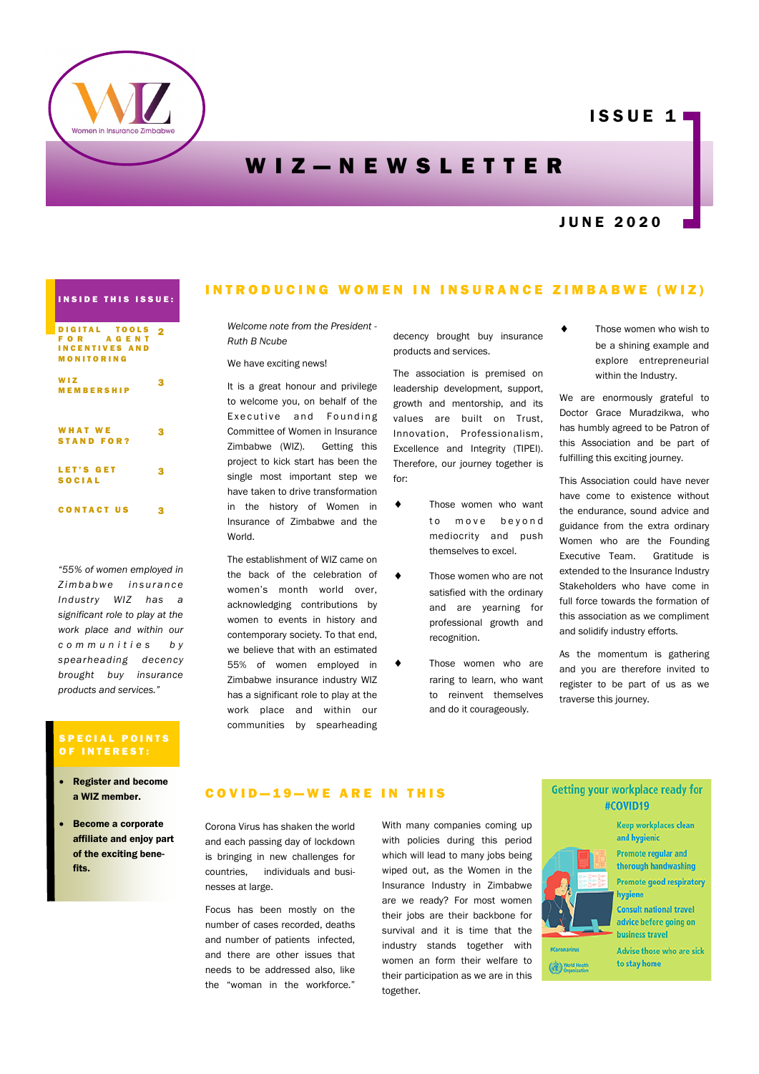

# **ISSUE 11**

# WIZ-NEWSLETTER

# J U N E 2 0 2 0

# INSIDE THIS ISSUE:

| DIGITAL TOOLS<br>FOR AGENT<br><b>INCENTIVES AND</b><br>MONITORING | ۸ |
|-------------------------------------------------------------------|---|
| <b>WIZ</b><br>MEMBERSHIP                                          | ¢ |
| <b>WHAT WE</b><br><b>STAND FOR?</b>                               | з |
| <b>LET'S GET</b><br><b>SOCIAL</b>                                 | 3 |
| <b>CONTACT US</b>                                                 |   |

*"55% of women employed in Z i m b a b w e i n s u r a n c e Industry WIZ has a significant role to play at the work place and within our c o m m u n i t i e s b y spearheading decency brought buy insurance products and services."*

#### S P E C I A L POINTS OF INTEREST:

- Register and become a WIZ member.
- Become a corporate affiliate and enjoy part of the exciting benefits.

## INTRODUCING WOMEN IN INSURANCE ZIMBABWE (WIZ)

*Welcome note from the President - Ruth B Ncube*

#### We have exciting news!

It is a great honour and privilege to welcome you, on behalf of the Executive and Founding Committee of Women in Insurance Zimbabwe (WIZ). Getting this project to kick start has been the single most important step we have taken to drive transformation in the history of Women in Insurance of Zimbabwe and the World.

The establishment of WIZ came on the back of the celebration of women's month world over, acknowledging contributions by women to events in history and contemporary society. To that end, we believe that with an estimated 55% of women employed in Zimbabwe insurance industry WIZ has a significant role to play at the work place and within our communities by spearheading decency brought buy insurance products and services.

The association is premised on leadership development, support, growth and mentorship, and its values are built on Trust, Innovation, Professionalism, Excellence and Integrity (TIPEI). Therefore, our journey together is for:

- Those women who want to move beyond mediocrity and push themselves to excel.
- $\bullet$  Those women who are not satisfied with the ordinary and are yearning for professional growth and recognition.
	- Those women who are raring to learn, who want to reinvent themselves and do it courageously.

 Those women who wish to be a shining example and explore entrepreneurial within the Industry.

We are enormously grateful to Doctor Grace Muradzikwa, who has humbly agreed to be Patron of this Association and be part of fulfilling this exciting journey.

This Association could have never have come to existence without the endurance, sound advice and guidance from the extra ordinary Women who are the Founding Executive Team. Gratitude is extended to the Insurance Industry Stakeholders who have come in full force towards the formation of this association as we compliment and solidify industry efforts.

As the momentum is gathering and you are therefore invited to register to be part of us as we traverse this journey.

### COVID-19-WE ARE IN THIS

Corona Virus has shaken the world and each passing day of lockdown is bringing in new challenges for countries, individuals and businesses at large.

Focus has been mostly on the number of cases recorded, deaths and number of patients infected, and there are other issues that needs to be addressed also, like the "woman in the workforce."

With many companies coming up with policies during this period which will lead to many jobs being wiped out, as the Women in the Insurance Industry in Zimbabwe are we ready? For most women their jobs are their backbone for survival and it is time that the industry stands together with women an form their welfare to their participation as we are in this together.

#### Getting your workplace ready for #COVID19



to stay home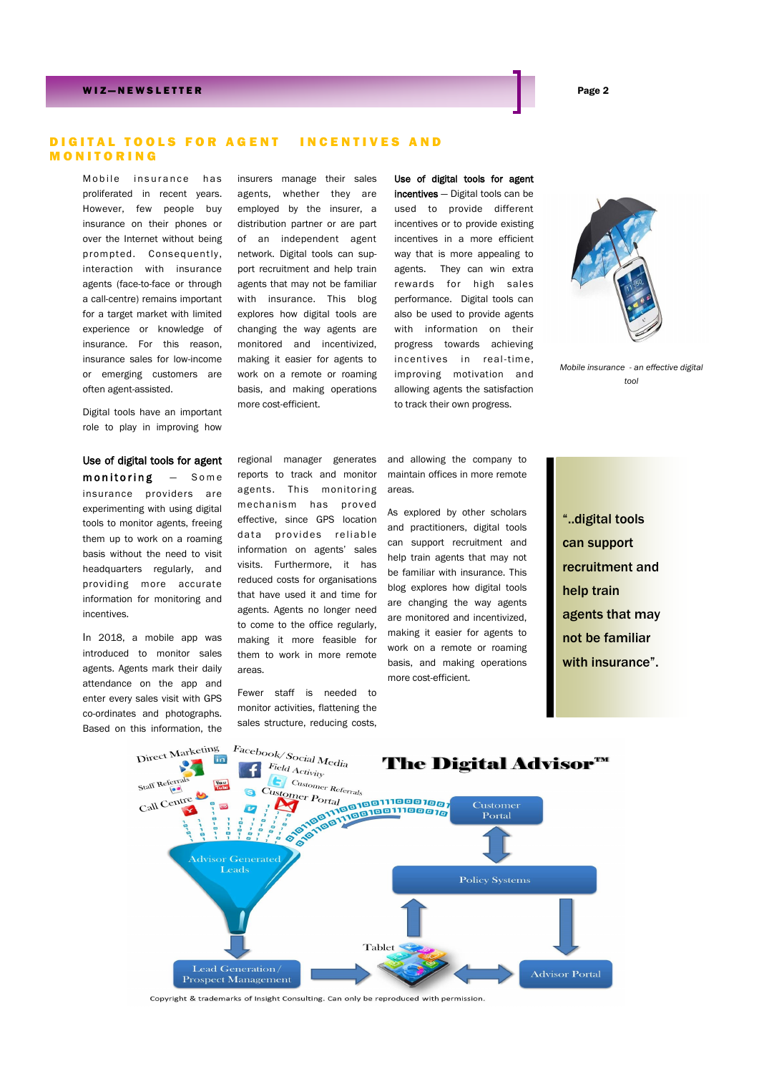#### W I Z — N E W S L E T T E R Page 2

#### DIGITAL TOOLS FOR AGENT INCENTIVES AND M O N I T O R I N G

Mobile insurance has proliferated in recent years. However, few people buy insurance on their phones or over the Internet without being prompted. Consequently, interaction with insurance agents (face-to-face or through a call-centre) remains important for a target market with limited experience or knowledge of insurance. For this reason, insurance sales for low-income or emerging customers are often agent-assisted.

Digital tools have an important role to play in improving how

Use of digital tools for agent  $monitoring$   $-$  Some insurance providers are experimenting with using digital tools to monitor agents, freeing them up to work on a roaming basis without the need to visit headquarters regularly, and providing more accurate information for monitoring and incentives.

In 2018, a mobile app was introduced to monitor sales agents. Agents mark their daily attendance on the app and enter every sales visit with GPS co-ordinates and photographs. Based on this information, the

insurers manage their sales agents, whether they are employed by the insurer, a distribution partner or are part of an independent agent network. Digital tools can support recruitment and help train agents that may not be familiar with insurance. This blog explores how digital tools are changing the way agents are monitored and incentivized, making it easier for agents to work on a remote or roaming basis, and making operations more cost-efficient.

Use of digital tools for agent incentives - Digital tools can be used to provide different incentives or to provide existing incentives in a more efficient way that is more appealing to agents. They can win extra rewards for high sales performance. Digital tools can also be used to provide agents with information on their progress towards achieving incentives in real-time, improving motivation and allowing agents the satisfaction to track their own progress.



*Mobile insurance - an effective digital tool*

regional manager generates reports to track and monitor agents. This monitoring mechanism has proved effective, since GPS location data provides reliable information on agents' sales visits. Furthermore, it has reduced costs for organisations that have used it and time for agents. Agents no longer need to come to the office regularly, making it more feasible for them to work in more remote areas.

Fewer staff is needed to monitor activities, flattening the sales structure, reducing costs, and allowing the company to maintain offices in more remote areas.

As explored by other scholars and practitioners, digital tools can support recruitment and help train agents that may not be familiar with insurance. This blog explores how digital tools are changing the way agents are monitored and incentivized, making it easier for agents to work on a remote or roaming basis, and making operations more cost-efficient.

"..digital tools can support recruitment and help train agents that may not be familiar with insurance".



Copyright & trademarks of Insight Consulting. Can only be reproduced with permission.